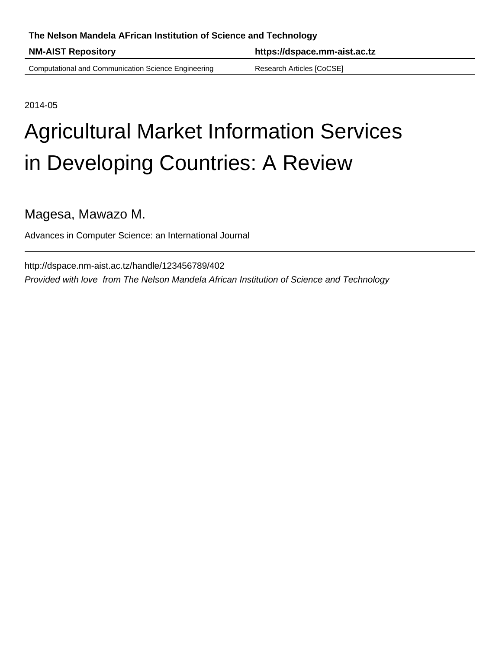# **The Nelson Mandela AFrican Institution of Science and Technology**

**NM-AIST Repository https://dspace.mm-aist.ac.tz**

Computational and Communication Science Engineering Research Articles [CoCSE]

2014-05

# Agricultural Market Information Services in Developing Countries: A Review

Magesa, Mawazo M.

Advances in Computer Science: an International Journal

http://dspace.nm-aist.ac.tz/handle/123456789/402 Provided with love from The Nelson Mandela African Institution of Science and Technology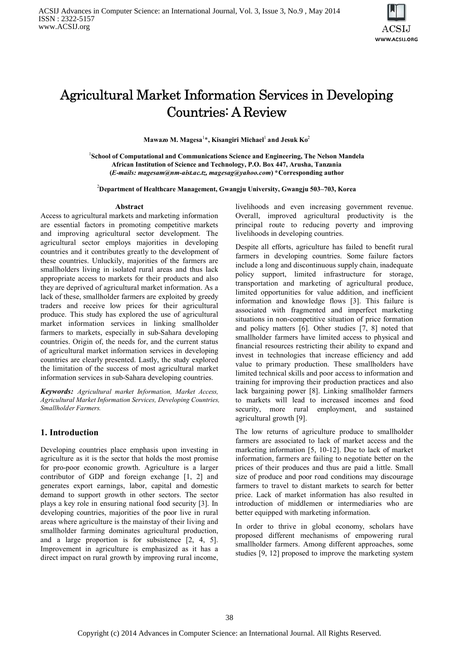

# Agricultural Market Information Services in Developing Countries: A Review

 $\mathbf{M}$ awazo M. Magesa $^{1*}$ , Kisangiri Michael $^{1}$  and Jesuk Ko $^{2}$ 

<sup>1</sup>School of Computational and Communications Science and Engineering, The Nelson Mandela **African Institution of Science and Technology, P.O. Box 447, Arusha, Tanzania (***E-mails: magesam@nm-aist.ac.tz, magesag@yahoo.com***) \*Corresponding author**

<sup>2</sup>**Department of Healthcare Management, Gwangju University, Gwangju 503–703, Korea**

#### **Abstract**

Access to agricultural markets and marketing information are essential factors in promoting competitive markets and improving agricultural sector development. The agricultural sector employs majorities in developing countries and it contributes greatly to the development of these countries. Unluckily, majorities of the farmers are smallholders living in isolated rural areas and thus lack appropriate access to markets for their products and also they are deprived of agricultural market information. As a lack of these, smallholder farmers are exploited by greedy traders and receive low prices for their agricultural produce. This study has explored the use of agricultural market information services in linking smallholder farmers to markets, especially in sub-Sahara developing countries. Origin of, the needs for, and the current status of agricultural market information services in developing countries are clearly presented. Lastly, the study explored the limitation of the success of most agricultural market information services in sub-Sahara developing countries.

*Keywords: Agricultural market Information, Market Access, Agricultural Market Information Services, Developing Countries, Smallholder Farmers.*

#### **1. Introduction**

Developing countries place emphasis upon investing in agriculture as it is the sector that holds the most promise for pro-poor economic growth. Agriculture is a larger contributor of GDP and foreign exchange [1, 2] and generates export earnings, labor, capital and domestic demand to support growth in other sectors. The sector plays a key role in ensuring national food security [3]. In developing countries, majorities of the poor live in rural areas where agriculture is the mainstay of their living and smallholder farming dominates agricultural production, and a large proportion is for subsistence [2, 4, 5]. Improvement in agriculture is emphasized as it has a direct impact on rural growth by improving rural income, livelihoods and even increasing government revenue. Overall, improved agricultural productivity is the principal route to reducing poverty and improving livelihoods in developing countries.

Despite all efforts, agriculture has failed to benefit rural farmers in developing countries. Some failure factors include a long and discontinuous supply chain, inadequate policy support, limited infrastructure for storage, transportation and marketing of agricultural produce, limited opportunities for value addition, and inefficient information and knowledge flows [3]. This failure is associated with fragmented and imperfect marketing situations in non-competitive situation of price formation and policy matters [6]. Other studies [7, 8] noted that smallholder farmers have limited access to physical and financial resources restricting their ability to expand and invest in technologies that increase efficiency and add value to primary production. These smallholders have limited technical skills and poor access to information and training for improving their production practices and also lack bargaining power [8]. Linking smallholder farmers to markets will lead to increased incomes and food security, more rural employment, and sustained agricultural growth [9].

The low returns of agriculture produce to smallholder farmers are associated to lack of market access and the marketing information [5, 10-12]. Due to lack of market information, farmers are failing to negotiate better on the prices of their produces and thus are paid a little. Small size of produce and poor road conditions may discourage farmers to travel to distant markets to search for better price. Lack of market information has also resulted in introduction of middlemen or intermediaries who are better equipped with marketing information.

In order to thrive in global economy, scholars have proposed different mechanisms of empowering rural smallholder farmers. Among different approaches, some studies [9, 12] proposed to improve the marketing system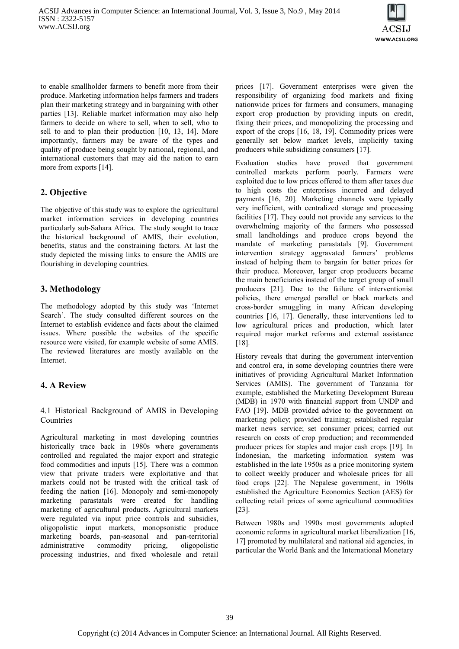

to enable smallholder farmers to benefit more from their produce. Marketing information helps farmers and traders plan their marketing strategy and in bargaining with other parties [13]. Reliable market information may also help farmers to decide on where to sell, when to sell, who to sell to and to plan their production [10, 13, 14]. More importantly, farmers may be aware of the types and quality of produce being sought by national, regional, and international customers that may aid the nation to earn more from exports [14].

# **2. Objective**

The objective of this study was to explore the agricultural market information services in developing countries particularly sub-Sahara Africa. The study sought to trace the historical background of AMIS, their evolution, benefits, status and the constraining factors. At last the study depicted the missing links to ensure the AMIS are flourishing in developing countries.

# **3. Methodology**

The methodology adopted by this study was 'Internet Search'. The study consulted different sources on the Internet to establish evidence and facts about the claimed issues. Where possible the websites of the specific resource were visited, for example website of some AMIS. The reviewed literatures are mostly available on the Internet.

# **4. A Review**

### 4.1 Historical Background of AMIS in Developing Countries

Agricultural marketing in most developing countries historically trace back in 1980s where governments controlled and regulated the major export and strategic food commodities and inputs [15]. There was a common view that private traders were exploitative and that markets could not be trusted with the critical task of feeding the nation [16]. Monopoly and semi-monopoly marketing parastatals were created for handling marketing of agricultural products. Agricultural markets were regulated via input price controls and subsidies, oligopolistic input markets, monopsonistic produce marketing boards, pan-seasonal and pan-territorial administrative commodity pricing, oligopolistic processing industries, and fixed wholesale and retail

prices [17]. Government enterprises were given the responsibility of organizing food markets and fixing nationwide prices for farmers and consumers, managing export crop production by providing inputs on credit, fixing their prices, and monopolizing the processing and export of the crops [16, 18, 19]. Commodity prices were generally set below market levels, implicitly taxing producers while subsidizing consumers [17].

Evaluation studies have proved that government controlled markets perform poorly. Farmers were exploited due to low prices offered to them after taxes due to high costs the enterprises incurred and delayed payments [16, 20]. Marketing channels were typically very inefficient, with centralized storage and processing facilities [17]. They could not provide any services to the overwhelming majority of the farmers who possessed small landholdings and produce crops beyond the mandate of marketing parastatals [9]. Government intervention strategy aggravated farmers' problems instead of helping them to bargain for better prices for their produce. Moreover, larger crop producers became the main beneficiaries instead of the target group of small producers [21]. Due to the failure of interventionist policies, there emerged parallel or black markets and cross-border smuggling in many African developing countries [16, 17]. Generally, these interventions led to low agricultural prices and production, which later required major market reforms and external assistance [18].

History reveals that during the government intervention and control era, in some developing countries there were initiatives of providing Agricultural Market Information Services (AMIS). The government of Tanzania for example, established the Marketing Development Bureau (MDB) in 1970 with financial support from UNDP and FAO [19]. MDB provided advice to the government on marketing policy; provided training; established regular market news service; set consumer prices; carried out research on costs of crop production; and recommended producer prices for staples and major cash crops [19]. In Indonesian, the marketing information system was established in the late 1950s as a price monitoring system to collect weekly producer and wholesale prices for all food crops [22]. The Nepalese government, in 1960s established the Agriculture Economics Section (AES) for collecting retail prices of some agricultural commodities [23].

Between 1980s and 1990s most governments adopted economic reforms in agricultural market liberalization [16, 17] promoted by multilateral and national aid agencies, in particular the World Bank and the International Monetary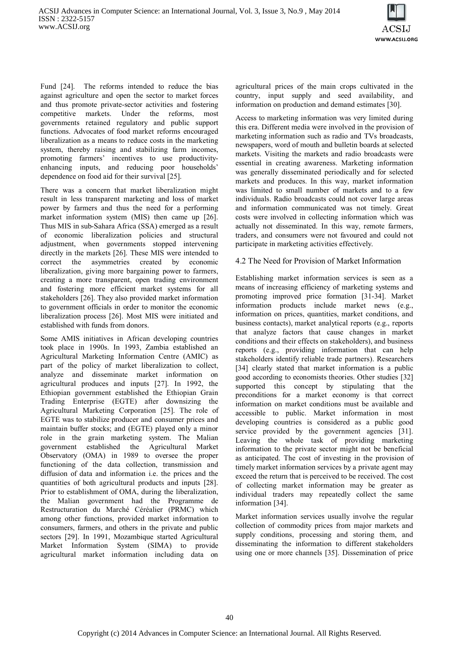

Fund [24]. The reforms intended to reduce the bias against agriculture and open the sector to market forces and thus promote private-sector activities and fostering competitive markets. Under the reforms, most governments retained regulatory and public support functions. Advocates of food market reforms encouraged liberalization as a means to reduce costs in the marketing system, thereby raising and stabilizing farm incomes, promoting farmers' incentives to use productivityenhancing inputs, and reducing poor households' dependence on food aid for their survival [25].

There was a concern that market liberalization might result in less transparent marketing and loss of market power by farmers and thus the need for a performing market information system (MIS) then came up [26]. Thus MIS in sub-Sahara Africa (SSA) emerged as a result of economic liberalization policies and structural adjustment, when governments stopped intervening directly in the markets [26]. These MIS were intended to correct the asymmetries created by economic liberalization, giving more bargaining power to farmers, creating a more transparent, open trading environment and fostering more efficient market systems for all stakeholders [26]. They also provided market information to government officials in order to monitor the economic liberalization process [26]. Most MIS were initiated and established with funds from donors.

Some AMIS initiatives in African developing countries took place in 1990s. In 1993, Zambia established an Agricultural Marketing Information Centre (AMIC) as part of the policy of market liberalization to collect, analyze and disseminate market information on agricultural produces and inputs [27]. In 1992, the Ethiopian government established the Ethiopian Grain Trading Enterprise (EGTE) after downsizing the Agricultural Marketing Corporation [25]. The role of EGTE was to stabilize producer and consumer prices and maintain buffer stocks; and (EGTE) played only a minor role in the grain marketing system. The Malian government established the Agricultural Market Observatory (OMA) in 1989 to oversee the proper functioning of the data collection, transmission and diffusion of data and information i.e. the prices and the quantities of both agricultural products and inputs [28]. Prior to establishment of OMA, during the liberalization, the Malian government had the Programme de Restructuration du Marché Céréalier (PRMC) which among other functions, provided market information to consumers, farmers, and others in the private and public sectors [29]. In 1991, Mozambique started Agricultural Market Information System (SIMA) to provide agricultural market information including data on

agricultural prices of the main crops cultivated in the country, input supply and seed availability, and information on production and demand estimates [30].

Access to marketing information was very limited during this era. Different media were involved in the provision of marketing information such as radio and TVs broadcasts, newspapers, word of mouth and bulletin boards at selected markets. Visiting the markets and radio broadcasts were essential in creating awareness. Marketing information was generally disseminated periodically and for selected markets and produces. In this way, market information was limited to small number of markets and to a few individuals. Radio broadcasts could not cover large areas and information communicated was not timely. Great costs were involved in collecting information which was actually not disseminated. In this way, remote farmers, traders, and consumers were not favoured and could not participate in marketing activities effectively.

#### 4.2 The Need for Provision of Market Information

Establishing market information services is seen as a means of increasing efficiency of marketing systems and promoting improved price formation [31-34]. Market information products include market news (e.g., information on prices, quantities, market conditions, and business contacts), market analytical reports (e.g., reports that analyze factors that cause changes in market conditions and their effects on stakeholders), and business reports (e.g., providing information that can help stakeholders identify reliable trade partners). Researchers [34] clearly stated that market information is a public good according to economists theories. Other studies [32] supported this concept by stipulating that the preconditions for a market economy is that correct information on market conditions must be available and accessible to public. Market information in most developing countries is considered as a public good service provided by the government agencies [31]. Leaving the whole task of providing marketing information to the private sector might not be beneficial as anticipated. The cost of investing in the provision of timely market information services by a private agent may exceed the return that is perceived to be received. The cost of collecting market information may be greater as individual traders may repeatedly collect the same information [34].

Market information services usually involve the regular collection of commodity prices from major markets and supply conditions, processing and storing them, and disseminating the information to different stakeholders using one or more channels [35]. Dissemination of price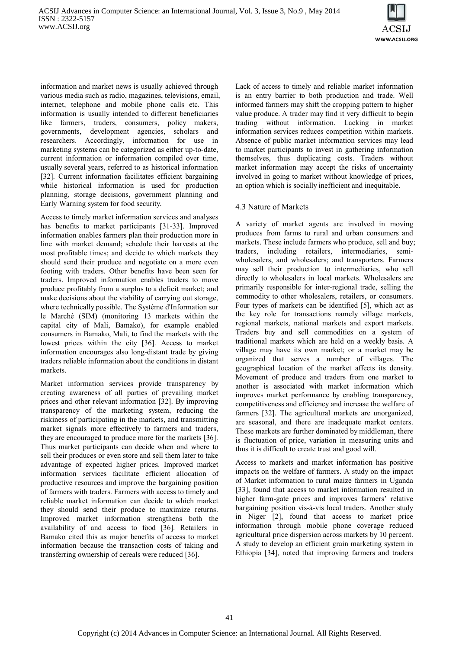

information and market news is usually achieved through various media such as radio, magazines, televisions, email, internet, telephone and mobile phone calls etc. This information is usually intended to different beneficiaries like farmers, traders, consumers, policy makers, governments, development agencies, scholars and researchers. Accordingly, information for use in marketing systems can be categorized as either up-to-date, current information or information compiled over time, usually several years, referred to as historical information [32]. Current information facilitates efficient bargaining while historical information is used for production planning, storage decisions, government planning and Early Warning system for food security.

Access to timely market information services and analyses has benefits to market participants [31-33]. Improved information enables farmers plan their production more in line with market demand; schedule their harvests at the most profitable times; and decide to which markets they should send their produce and negotiate on a more even footing with traders. Other benefits have been seen for traders. Improved information enables traders to move produce profitably from a surplus to a deficit market; and make decisions about the viability of carrying out storage, where technically possible. The Système d'Information sur le Marché (SIM) (monitoring 13 markets within the capital city of Mali, Bamako), for example enabled consumers in Bamako, Mali, to find the markets with the lowest prices within the city [36]. Access to market information encourages also long-distant trade by giving traders reliable information about the conditions in distant markets.

Market information services provide transparency by creating awareness of all parties of prevailing market prices and other relevant information [32]. By improving transparency of the marketing system, reducing the riskiness of participating in the markets, and transmitting market signals more effectively to farmers and traders, they are encouraged to produce more for the markets [36]. Thus market participants can decide when and where to sell their produces or even store and sell them later to take advantage of expected higher prices. Improved market information services facilitate efficient allocation of productive resources and improve the bargaining position of farmers with traders. Farmers with access to timely and reliable market information can decide to which market they should send their produce to maximize returns. Improved market information strengthens both the availability of and access to food [36]. Retailers in Bamako cited this as major benefits of access to market information because the transaction costs of taking and transferring ownership of cereals were reduced [36].

Lack of access to timely and reliable market information is an entry barrier to both production and trade. Well informed farmers may shift the cropping pattern to higher value produce. A trader may find it very difficult to begin trading without information. Lacking in market information services reduces competition within markets. Absence of public market information services may lead to market participants to invest in gathering information themselves, thus duplicating costs. Traders without market information may accept the risks of uncertainty involved in going to market without knowledge of prices, an option which is socially inefficient and inequitable.

#### 4.3 Nature of Markets

A variety of market agents are involved in moving produces from farms to rural and urban consumers and markets. These include farmers who produce, sell and buy; traders, including retailers, intermediaries, semiwholesalers, and wholesalers; and transporters. Farmers may sell their production to intermediaries, who sell directly to wholesalers in local markets. Wholesalers are primarily responsible for inter-regional trade, selling the commodity to other wholesalers, retailers, or consumers. Four types of markets can be identified [5], which act as the key role for transactions namely village markets, regional markets, national markets and export markets. Traders buy and sell commodities on a system of traditional markets which are held on a weekly basis. A village may have its own market; or a market may be organized that serves a number of villages. The geographical location of the market affects its density. Movement of produce and traders from one market to another is associated with market information which improves market performance by enabling transparency, competitiveness and efficiency and increase the welfare of farmers [32]. The agricultural markets are unorganized, are seasonal, and there are inadequate market centers. These markets are further dominated by middleman, there is fluctuation of price, variation in measuring units and thus it is difficult to create trust and good will.

Access to markets and market information has positive impacts on the welfare of farmers. A study on the impact of Market information to rural maize farmers in Uganda [33], found that access to market information resulted in higher farm-gate prices and improves farmers' relative bargaining position vis-à-vis local traders. Another study in Niger [2], found that access to market price information through mobile phone coverage reduced agricultural price dispersion across markets by 10 percent. A study to develop an efficient grain marketing system in Ethiopia [34], noted that improving farmers and traders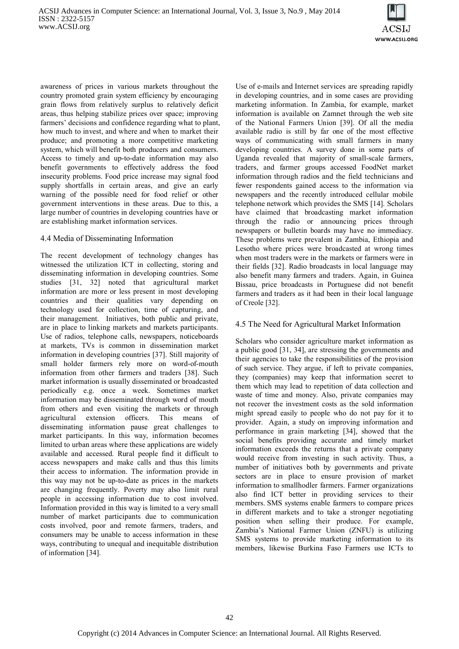

awareness of prices in various markets throughout the country promoted grain system efficiency by encouraging grain flows from relatively surplus to relatively deficit areas, thus helping stabilize prices over space; improving farmers' decisions and confidence regarding what to plant, how much to invest, and where and when to market their produce; and promoting a more competitive marketing system, which will benefit both producers and consumers. Access to timely and up-to-date information may also benefit governments to effectively address the food insecurity problems. Food price increase may signal food supply shortfalls in certain areas, and give an early warning of the possible need for food relief or other government interventions in these areas. Due to this, a large number of countries in developing countries have or are establishing market information services.

#### 4.4 Media of Disseminating Information

The recent development of technology changes has witnessed the utilization ICT in collecting, storing and disseminating information in developing countries. Some studies [31, 32] noted that agricultural market information are more or less present in most developing countries and their qualities vary depending on technology used for collection, time of capturing, and their management. Initiatives, both public and private, are in place to linking markets and markets participants. Use of radios, telephone calls, newspapers, noticeboards at markets, TVs is common in dissemination market information in developing countries [37]. Still majority of small holder farmers rely more on word-of-mouth information from other farmers and traders [38]. Such market information is usually disseminated or broadcasted periodically e.g. once a week. Sometimes market information may be disseminated through word of mouth from others and even visiting the markets or through agricultural extension officers. This means of disseminating information pause great challenges to market participants. In this way, information becomes limited to urban areas where these applications are widely available and accessed. Rural people find it difficult to access newspapers and make calls and thus this limits their access to information. The information provide in this way may not be up-to-date as prices in the markets are changing frequently. Poverty may also limit rural people in accessing information due to cost involved. Information provided in this way is limited to a very small number of market participants due to communication costs involved, poor and remote farmers, traders, and consumers may be unable to access information in these ways, contributing to unequal and inequitable distribution of information [34].

Use of e-mails and Internet services are spreading rapidly in developing countries, and in some cases are providing marketing information. In Zambia, for example, market information is available on Zamnet through the web site of the National Farmers Union [39]. Of all the media available radio is still by far one of the most effective ways of communicating with small farmers in many developing countries. A survey done in some parts of Uganda revealed that majority of small-scale farmers, traders, and farmer groups accessed FoodNet market information through radios and the field technicians and fewer respondents gained access to the information via newspapers and the recently introduced cellular mobile telephone network which provides the SMS [14]. Scholars have claimed that broadcasting market information through the radio or announcing prices through newspapers or bulletin boards may have no immediacy. These problems were prevalent in Zambia, Ethiopia and Lesotho where prices were broadcasted at wrong times when most traders were in the markets or farmers were in their fields [32]. Radio broadcasts in local language may also benefit many farmers and traders. Again, in Guinea Bissau, price broadcasts in Portuguese did not benefit farmers and traders as it had been in their local language of Creole [32].

#### 4.5 The Need for Agricultural Market Information

Scholars who consider agriculture market information as a public good [31, 34], are stressing the governments and their agencies to take the responsibilities of the provision of such service. They argue, if left to private companies, they (companies) may keep that information secret to them which may lead to repetition of data collection and waste of time and money. Also, private companies may not recover the investment costs as the sold information might spread easily to people who do not pay for it to provider. Again, a study on improving information and performance in grain marketing [34], showed that the social benefits providing accurate and timely market information exceeds the returns that a private company would receive from investing in such activity. Thus, a number of initiatives both by governments and private sectors are in place to ensure provision of market information to smallhodler farmers. Farmer organizations also find ICT better in providing services to their members. SMS systems enable farmers to compare prices in different markets and to take a stronger negotiating position when selling their produce. For example, Zambia's National Farmer Union (ZNFU) is utilizing SMS systems to provide marketing information to its members, likewise Burkina Faso Farmers use ICTs to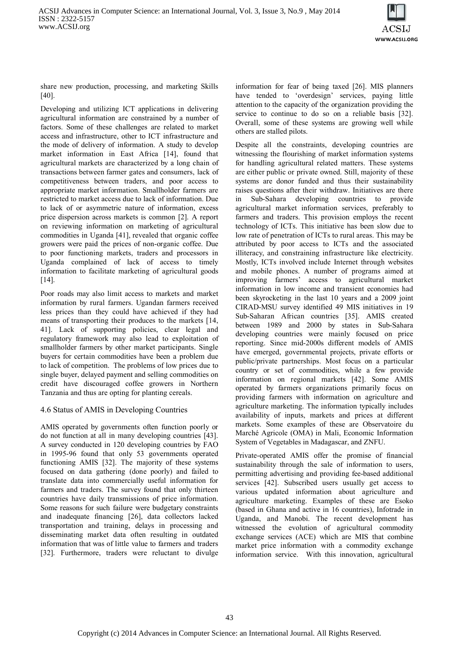

share new production, processing, and marketing Skills [40].

Developing and utilizing ICT applications in delivering agricultural information are constrained by a number of factors. Some of these challenges are related to market access and infrastructure, other to ICT infrastructure and the mode of delivery of information. A study to develop market information in East Africa [14], found that agricultural markets are characterized by a long chain of transactions between farmer gates and consumers, lack of competitiveness between traders, and poor access to appropriate market information. Smallholder farmers are restricted to market access due to lack of information. Due to lack of or asymmetric nature of information, excess price dispersion across markets is common [2]. A report on reviewing information on marketing of agricultural commodities in Uganda [41], revealed that organic coffee growers were paid the prices of non-organic coffee. Due to poor functioning markets, traders and processors in Uganda complained of lack of access to timely information to facilitate marketing of agricultural goods [14].

Poor roads may also limit access to markets and market information by rural farmers. Ugandan farmers received less prices than they could have achieved if they had means of transporting their produces to the markets [14, 41]. Lack of supporting policies, clear legal and regulatory framework may also lead to exploitation of smallholder farmers by other market participants. Single buyers for certain commodities have been a problem due to lack of competition. The problems of low prices due to single buyer, delayed payment and selling commodities on credit have discouraged coffee growers in Northern Tanzania and thus are opting for planting cereals.

#### 4.6 Status of AMIS in Developing Countries

AMIS operated by governments often function poorly or do not function at all in many developing countries [43]. A survey conducted in 120 developing countries by FAO in 1995-96 found that only 53 governments operated functioning AMIS [32]. The majority of these systems focused on data gathering (done poorly) and failed to translate data into commercially useful information for farmers and traders. The survey found that only thirteen countries have daily transmissions of price information. Some reasons for such failure were budgetary constraints and inadequate financing [26], data collectors lacked transportation and training, delays in processing and disseminating market data often resulting in outdated information that was of little value to farmers and traders [32]. Furthermore, traders were reluctant to divulge

information for fear of being taxed [26]. MIS planners have tended to 'overdesign' services, paying little attention to the capacity of the organization providing the service to continue to do so on a reliable basis [32]. Overall, some of these systems are growing well while others are stalled pilots.

Despite all the constraints, developing countries are witnessing the flourishing of market information systems for handling agricultural related matters. These systems are either public or private owned. Still, majority of these systems are donor funded and thus their sustainability raises questions after their withdraw. Initiatives are there in Sub-Sahara developing countries to provide agricultural market information services, preferably to farmers and traders. This provision employs the recent technology of ICTs. This initiative has been slow due to low rate of penetration of ICTs to rural areas. This may be attributed by poor access to ICTs and the associated illiteracy, and constraining infrastructure like electricity. Mostly, ICTs involved include Internet through websites and mobile phones. A number of programs aimed at improving farmers' access to agricultural market information in low income and transient economies had been skyrocketing in the last 10 years and a 2009 joint CIRAD-MSU survey identified 49 MIS initiatives in 19 Sub-Saharan African countries [35]. AMIS created between 1989 and 2000 by states in Sub-Sahara developing countries were mainly focused on price reporting. Since mid-2000s different models of AMIS have emerged, governmental projects, private efforts or public/private partnerships. Most focus on a particular country or set of commodities, while a few provide information on regional markets [42]. Some AMIS operated by farmers organizations primarily focus on providing farmers with information on agriculture and agriculture marketing. The information typically includes availability of inputs, markets and prices at different markets. Some examples of these are Observatoire du Marché Agricole (OMA) in Mali, Economic Information System of Vegetables in Madagascar, and ZNFU.

Private-operated AMIS offer the promise of financial sustainability through the sale of information to users, permitting advertising and providing fee-based additional services [42]. Subscribed users usually get access to various updated information about agriculture and agriculture marketing. Examples of these are Esoko (based in Ghana and active in 16 countries), Infotrade in Uganda, and Manobi. The recent development has witnessed the evolution of agricultural commodity exchange services (ACE) which are MIS that combine market price information with a commodity exchange information service. With this innovation, agricultural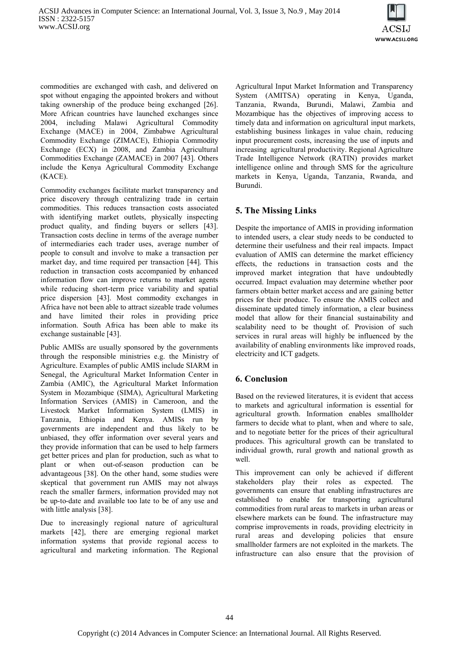

commodities are exchanged with cash, and delivered on spot without engaging the appointed brokers and without taking ownership of the produce being exchanged [26]. More African countries have launched exchanges since 2004, including Malawi Agricultural Commodity Exchange (MACE) in 2004, Zimbabwe Agricultural Commodity Exchange (ZIMACE), Ethiopia Commodity Exchange (ECX) in 2008, and Zambia Agricultural Commodities Exchange (ZAMACE) in 2007 [43]. Others include the Kenya Agricultural Commodity Exchange (KACE).

Commodity exchanges facilitate market transparency and price discovery through centralizing trade in certain commodities. This reduces transaction costs associated with identifying market outlets, physically inspecting product quality, and finding buyers or sellers [43]. Transaction costs decline in terms of the average number of intermediaries each trader uses, average number of people to consult and involve to make a transaction per market day, and time required per transaction [44]. This reduction in transaction costs accompanied by enhanced information flow can improve returns to market agents while reducing short-term price variability and spatial price dispersion [43]. Most commodity exchanges in Africa have not been able to attract sizeable trade volumes and have limited their roles in providing price information. South Africa has been able to make its exchange sustainable [43].

Public AMISs are usually sponsored by the governments through the responsible ministries e.g. the Ministry of Agriculture. Examples of public AMIS include SIARM in Senegal, the Agricultural Market Information Center in Zambia (AMIC), the Agricultural Market Information System in Mozambique (SIMA), Agricultural Marketing Information Services (AMIS) in Cameroon, and the Livestock Market Information System (LMIS) in Tanzania, Ethiopia and Kenya. AMISs run by governments are independent and thus likely to be unbiased, they offer information over several years and they provide information that can be used to help farmers get better prices and plan for production, such as what to plant or when out-of-season production can be advantageous [38]. On the other hand, some studies were skeptical that government run AMIS may not always reach the smaller farmers, information provided may not be up-to-date and available too late to be of any use and with little analysis [38].

Due to increasingly regional nature of agricultural markets [42], there are emerging regional market information systems that provide regional access to agricultural and marketing information. The Regional

Agricultural Input Market Information and Transparency System (AMITSA) operating in Kenya, Uganda, Tanzania, Rwanda, Burundi, Malawi, Zambia and Mozambique has the objectives of improving access to timely data and information on agricultural input markets, establishing business linkages in value chain, reducing input procurement costs, increasing the use of inputs and increasing agricultural productivity. Regional Agriculture Trade Intelligence Network (RATIN) provides market intelligence online and through SMS for the agriculture markets in Kenya, Uganda, Tanzania, Rwanda, and Burundi.

# **5. The Missing Links**

Despite the importance of AMIS in providing information to intended users, a clear study needs to be conducted to determine their usefulness and their real impacts. Impact evaluation of AMIS can determine the market efficiency effects, the reductions in transaction costs and the improved market integration that have undoubtedly occurred. Impact evaluation may determine whether poor farmers obtain better market access and are gaining better prices for their produce. To ensure the AMIS collect and disseminate updated timely information, a clear business model that allow for their financial sustainability and scalability need to be thought of. Provision of such services in rural areas will highly be influenced by the availability of enabling environments like improved roads, electricity and ICT gadgets.

# **6. Conclusion**

Based on the reviewed literatures, it is evident that access to markets and agricultural information is essential for agricultural growth. Information enables smallholder farmers to decide what to plant, when and where to sale, and to negotiate better for the prices of their agricultural produces. This agricultural growth can be translated to individual growth, rural growth and national growth as well.

This improvement can only be achieved if different stakeholders play their roles as expected. The governments can ensure that enabling infrastructures are established to enable for transporting agricultural commodities from rural areas to markets in urban areas or elsewhere markets can be found. The infrastructure may comprise improvements in roads, providing electricity in rural areas and developing policies that ensure smallholder farmers are not exploited in the markets. The infrastructure can also ensure that the provision of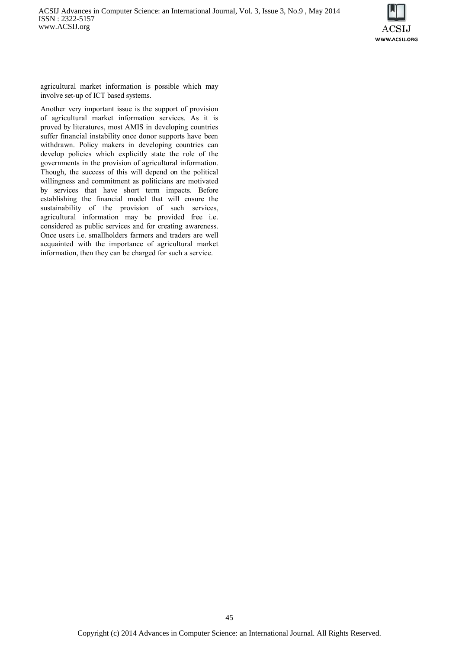

agricultural market information is possible which may involve set-up of ICT based systems.

Another very important issue is the support of provision of agricultural market information services. As it is proved by literatures, most AMIS in developing countries suffer financial instability once donor supports have been withdrawn. Policy makers in developing countries can develop policies which explicitly state the role of the governments in the provision of agricultural information. Though, the success of this will depend on the political willingness and commitment as politicians are motivated by services that have short term impacts. Before establishing the financial model that will ensure the sustainability of the provision of such services, agricultural information may be provided free i.e. considered as public services and for creating awareness. Once users i.e. smallholders farmers and traders are well acquainted with the importance of agricultural market information, then they can be charged for such a service.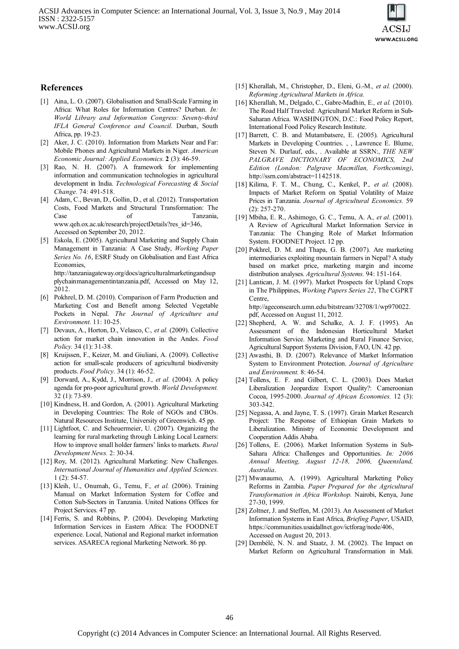

#### **References**

- [1] Aina, L. O. (2007). Globalisation and Small-Scale Farming in Africa: What Roles for Information Centres? Durban. *In: World Library and Information Congress: Seventy-third IFLA General Conference and Council*. Durban, South Africa, pp. 19-23.
- [2] Aker, J. C. (2010). Information from Markets Near and Far: Mobile Phones and Agricultural Markets in Niger. *American Economic Journal: Applied Economics.* **2** (3): 46-59.
- [3] Rao, N. H. (2007). A framework for implementing information and communication technologies in agricultural development in India. *Technological Forecasting & Social Change.* 74: 491-518.
- [4] Adam, C., Bevan, D., Gollin, D., et al. (2012). Transportation Costs, Food Markets and Structural Transformation: The Case of Tanzania, www.qeh.ox.ac.uk/research/projectDetails?res\_id=346, Accessed on September 20, 2012.
- [5] Eskola, E. (2005). Agricultural Marketing and Supply Chain Management in Tanzania: A Case Study, *Working Paper Series No. 16*, ESRF Study on Globalisation and East Africa Economies, http://tanzaniagateway.org/docs/agriculturalmarketingandsup

plychainmanagementintanzania.pdf, Accessed on May 12, 2012.

- [6] Pokhrel, D. M. (2010). Comparison of Farm Production and Marketing Cost and Benefit among Selected Vegetable Pockets in Nepal. *The Journal of Agriculture and Environment.* 11: 10-25.
- [7] Devaux, A., Horton, D., Velasco, C.*, et al.* (2009). Collective action for market chain innovation in the Andes. *Food Policy.* 34 (1): 31-38.
- [8] Kruijssen, F., Keizer, M. and Giuliani, A. (2009). Collective action for small-scale producers of agricultural biodiversity products. *Food Policy.* 34 (1): 46-52.
- [9] Dorward, A., Kydd, J., Morrison, J.*, et al.* (2004). A policy agenda for pro-poor agricultural growth. *World Development.* 32 (1): 73-89.
- [10] Kindness, H. and Gordon, A. (2001). Agricultural Marketing in Developing Countries: The Role of NGOs and CBOs. Natural Resources Institute, University of Greenwich. 45 pp.
- [11] Lightfoot, C. and Scheuermeier, U. (2007). Organizing the learning for rural marketing through Linking Local Learners: How to improve small holder farmers' links to markets. *Rural Development News.* 2: 30-34.
- [12] Roy, M. (2012). Agricultural Marketing: New Challenges. *International Journal of Humanities and Applied Sciences.* 1 (2): 54-57.
- [13] Kleih, U., Onumah, G., Temu, F.*, et al.* (2006). Training Manual on Market Information System for Coffee and Cotton Sub-Sectors in Tanzania. United Nations Offices for Project Services. 47 pp.
- [14] Ferris, S. and Robbins, P. (2004). Developing Marketing Information Services in Eastern Africa: The FOODNET experience. Local, National and Regional market information services. ASARECA regional Marketing Network. 86 pp.
- [15] Kherallah, M., Christopher, D., Eleni, G.-M.*, et al.* (2000). *Reforming Agricultural Markets in Africa.*
- [16] Kherallah, M., Delgado, C., Gabre-Madhin, E.*, et al.* (2010). The Road Half Traveled: Agricultural Market Reform in Sub-Saharan Africa. WASHINGTON, D.C.: Food Policy Report, International Food Policy Research Institute.
- [17] Barrett, C. B. and Mutambatsere, E. (2005). Agricultural Markets in Developing Countries. , , Lawrence E. Blume, Steven N. Durlauf, eds., . Available at SSRN:, *THE NEW PALGRAVE DICTIONARY OF ECONOMICS, 2nd Edition (London: Palgrave Macmillan, Forthcoming)*, http://ssrn.com/abstract=1142518.
- [18] Kilima, F. T. M., Chung, C., Kenkel, P.*, et al.* (2008). Impacts of Market Reform on Spatial Volatility of Maize Prices in Tanzania. *Journal of Agricultural Economics.* 59 (2): 257-270.
- [19] Mbiha, E. R., Ashimogo, G. C., Temu, A. A.*, et al.* (2001). A Review of Agricultural Market Information Service in Tanzania: The Changing Role of Market Information System. FOODNET Project. 12 pp.
- [20] Pokhrel, D. M. and Thapa, G. B. (2007). Are marketing intermediaries exploiting mountain farmers in Nepal? A study based on market price, marketing margin and income distribution analyses. *Agricultural Systems.* 94: 151-164.
- [21] Lantican, J. M. (1997). Market Prospects for Upland Crops in The Philippines, *Working Papers Series 22*, The CGPRT Centre, http://ageconsearch.umn.edu/bitstream/32708/1/wp970022. pdf, Accessed on August 11, 2012.
- [22] Shepherd, A. W. and Schalke, A. J. F. (1995). An Assessment of the Indonesian Horticultural Market Information Service. Marketing and Rural Finance Service, Agricultural Support Systems Division, FAO, UN. 42 pp.
- [23] Awasthi, B. D. (2007). Relevance of Market Information System to Environment Protection. *Journal of Agriculture and Environment.* 8: 46-54.
- [24] Tollens, E. F. and Gilbert, C. L. (2003). Does Market Liberalization Jeopardize Export Quality?: Cameroonian Cocoa, 1995-2000. *Journal of African Economies.* 12 (3): 303-342.
- [25] Negassa, A. and Jayne, T. S. (1997). Grain Market Research Project: The Response of Ethiopian Grain Markets to Liberalization. Ministry of Economic Development and Cooperation Addis Ababa.
- [26] Tollens, E. (2006). Market Information Systems in Sub-Sahara Africa: Challenges and Opportunities. *In: 2006 Annual Meeting, August 12-18, 2006, Queensland, Australia*.
- [27] Mwanaumo, A. (1999). Agricultural Marketing Policy Reforms in Zambia. *Paper Prepared for the Agricultural Transformation in Africa Workshop.* Nairobi, Kenya, June 27-30, 1999.
- [28] Zoltner, J. and Steffen, M. (2013). An Assessment of Market Information Systems in East Africa, *Briefing Paper*, USAID, https://communities.usaidallnet.gov/ictforag/node/406, Accessed on August 20, 2013.
- [29] Dembélé, N. N. and Staatz, J. M. (2002). The Impact on Market Reform on Agricultural Transformation in Mali.